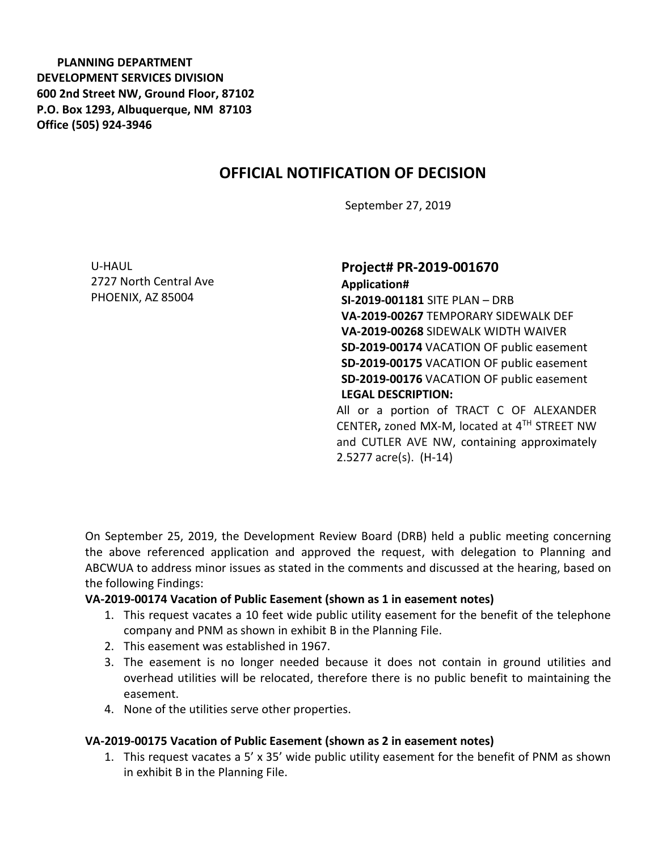**PLANNING DEPARTMENT DEVELOPMENT SERVICES DIVISION 600 2nd Street NW, Ground Floor, 87102 P.O. Box 1293, Albuquerque, NM 87103 Office (505) 924-3946** 

# **OFFICIAL NOTIFICATION OF DECISION**

September 27, 2019

U-HAUL 2727 North Central Ave PHOENIX, AZ 85004

# **Project# PR-2019-001670**

**Application# SI-2019-001181** SITE PLAN – DRB **VA-2019-00267** TEMPORARY SIDEWALK DEF **VA-2019-00268** SIDEWALK WIDTH WAIVER **SD-2019-00174** VACATION OF public easement **SD-2019-00175** VACATION OF public easement **SD-2019-00176** VACATION OF public easement **LEGAL DESCRIPTION:** All or a portion of TRACT C OF ALEXANDER

CENTER**,** zoned MX-M, located at 4TH STREET NW and CUTLER AVE NW, containing approximately 2.5277 acre(s). (H-14)

On September 25, 2019, the Development Review Board (DRB) held a public meeting concerning the above referenced application and approved the request, with delegation to Planning and ABCWUA to address minor issues as stated in the comments and discussed at the hearing, based on the following Findings:

#### **VA-2019-00174 Vacation of Public Easement (shown as 1 in easement notes)**

- 1. This request vacates a 10 feet wide public utility easement for the benefit of the telephone company and PNM as shown in exhibit B in the Planning File.
- 2. This easement was established in 1967.
- 3. The easement is no longer needed because it does not contain in ground utilities and overhead utilities will be relocated, therefore there is no public benefit to maintaining the easement.
- 4. None of the utilities serve other properties.

#### **VA-2019-00175 Vacation of Public Easement (shown as 2 in easement notes)**

1. This request vacates a 5' x 35' wide public utility easement for the benefit of PNM as shown in exhibit B in the Planning File.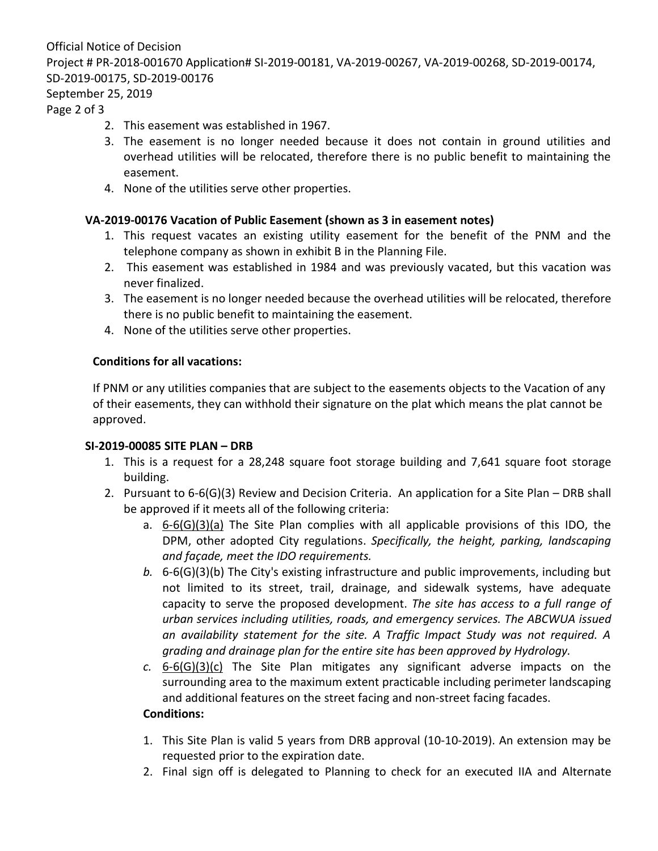Official Notice of Decision Project # PR-2018-001670 Application# SI-2019-00181, VA-2019-00267, VA-2019-00268, SD-2019-00174, SD-2019-00175, SD-2019-00176

## September 25, 2019

Page 2 of 3

- 2. This easement was established in 1967.
- 3. The easement is no longer needed because it does not contain in ground utilities and overhead utilities will be relocated, therefore there is no public benefit to maintaining the easement.
- 4. None of the utilities serve other properties.

### **VA-2019-00176 Vacation of Public Easement (shown as 3 in easement notes)**

- 1. This request vacates an existing utility easement for the benefit of the PNM and the telephone company as shown in exhibit B in the Planning File.
- 2. This easement was established in 1984 and was previously vacated, but this vacation was never finalized.
- 3. The easement is no longer needed because the overhead utilities will be relocated, therefore there is no public benefit to maintaining the easement.
- 4. None of the utilities serve other properties.

### **Conditions for all vacations:**

If PNM or any utilities companies that are subject to the easements objects to the Vacation of any of their easements, they can withhold their signature on the plat which means the plat cannot be approved.

### **SI-2019-00085 SITE PLAN – DRB**

- 1. This is a request for a 28,248 square foot storage building and 7,641 square foot storage building.
- 2. Pursuant to 6-6(G)(3) Review and Decision Criteria. An application for a Site Plan DRB shall be approved if it meets all of the following criteria:
	- a. 6-6(G)(3)(a) The Site Plan complies with all applicable provisions of this IDO, the DPM, other adopted City regulations. *Specifically, the height, parking, landscaping and façade, meet the IDO requirements.*
	- *b.* 6-6(G)(3)(b) The City's existing infrastructure and public improvements, including but not limited to its street, trail, drainage, and sidewalk systems, have adequate capacity to serve the proposed development. *The site has access to a full range of urban services including utilities, roads, and emergency services. The ABCWUA issued an availability statement for the site. A Traffic Impact Study was not required. A grading and drainage plan for the entire site has been approved by Hydrology.*
	- *c.* 6-6(G)(3)(c) The Site Plan mitigates any significant adverse impacts on the surrounding area to the maximum extent practicable including perimeter landscaping and additional features on the street facing and non-street facing facades.

## **Conditions:**

- 1. This Site Plan is valid 5 years from DRB approval (10-10-2019). An extension may be requested prior to the expiration date.
- 2. Final sign off is delegated to Planning to check for an executed IIA and Alternate